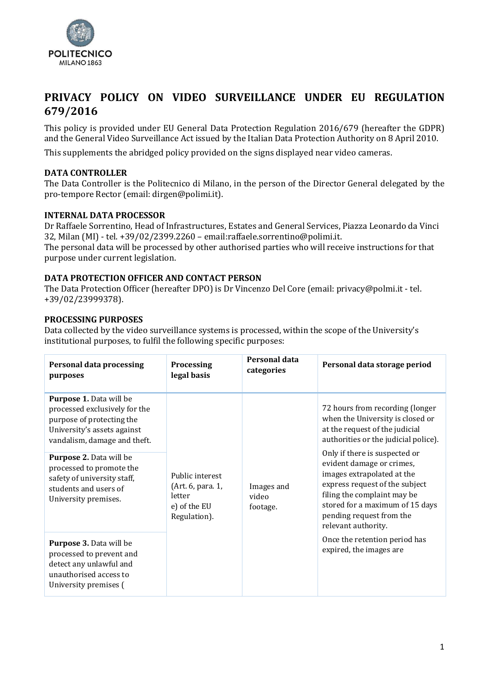

# **PRIVACY POLICY ON VIDEO SURVEILLANCE UNDER EU REGULATION 679/2016**

This policy is provided under EU General Data Protection Regulation 2016/679 (hereafter the GDPR) and the General Video Surveillance Act issued by the Italian Data Protection Authority on 8 April 2010.

This supplements the abridged policy provided on the signs displayed near video cameras.

# **DATA CONTROLLER**

The Data Controller is the Politecnico di Milano, in the person of the Director General delegated by the pro-tempore Rector (email: dirgen@polimi.it).

# **INTERNAL DATA PROCESSOR**

Dr Raffaele Sorrentino, Head of Infrastructures, Estates and General Services, Piazza Leonardo da Vinci 32, Milan (MI) - tel. +39/02/2399.2260 – email[:raffaele.sorrentino@polimi.it.](mailto:raffaele.sorrentino@polimi.it) The personal data will be processed by other authorised parties who will receive instructions for that

purpose under current legislation.

# **DATA PROTECTION OFFICER AND CONTACT PERSON**

The Data Protection Officer (hereafter DPO) is Dr Vincenzo Del Core (email: privacy@polmi.it - tel. +39/02/23999378).

# **PROCESSING PURPOSES**

Data collected by the video surveillance systems is processed, within the scope of the University's institutional purposes, to fulfil the following specific purposes:

| <b>Personal data processing</b><br>purposes                                                                                                                 | <b>Processing</b><br>legal basis                                               | Personal data<br>categories                                                                                                                                                                                                                                                | Personal data storage period                                                                                |
|-------------------------------------------------------------------------------------------------------------------------------------------------------------|--------------------------------------------------------------------------------|----------------------------------------------------------------------------------------------------------------------------------------------------------------------------------------------------------------------------------------------------------------------------|-------------------------------------------------------------------------------------------------------------|
| <b>Purpose 1.</b> Data will be<br>processed exclusively for the<br>purpose of protecting the<br>University's assets against<br>vandalism, damage and theft. |                                                                                | at the request of the judicial<br>Only if there is suspected or<br>evident damage or crimes,<br>images extrapolated at the<br>Images and<br>filing the complaint may be<br>video<br>footage.<br>pending request from the<br>relevant authority.<br>expired, the images are | 72 hours from recording (longer<br>when the University is closed or<br>authorities or the judicial police). |
| Purpose 2. Data will be<br>processed to promote the<br>safety of university staff,<br>students and users of<br>University premises.                         | Public interest<br>(Art. 6, para. 1,<br>letter<br>e) of the EU<br>Regulation). |                                                                                                                                                                                                                                                                            | express request of the subject<br>stored for a maximum of 15 days                                           |
| Purpose 3. Data will be<br>processed to prevent and<br>detect any unlawful and<br>unauthorised access to<br>University premises (                           |                                                                                |                                                                                                                                                                                                                                                                            | Once the retention period has                                                                               |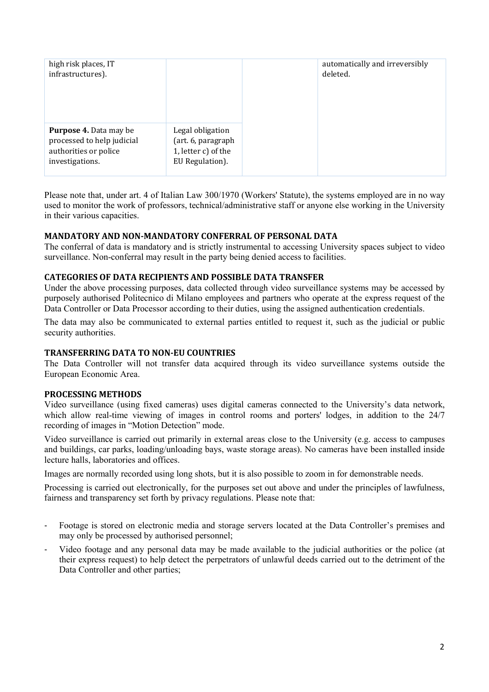| high risk places, IT<br>infrastructures).                                                               |                                                                                  | automatically and irreversibly<br>deleted. |
|---------------------------------------------------------------------------------------------------------|----------------------------------------------------------------------------------|--------------------------------------------|
| <b>Purpose 4.</b> Data may be<br>processed to help judicial<br>authorities or police<br>investigations. | Legal obligation<br>(art. 6, paragraph<br>1, letter c) of the<br>EU Regulation). |                                            |

Please note that, under art. 4 of Italian Law 300/1970 (Workers' Statute), the systems employed are in no way used to monitor the work of professors, technical/administrative staff or anyone else working in the University in their various capacities.

## **MANDATORY AND NON-MANDATORY CONFERRAL OF PERSONAL DATA**

The conferral of data is mandatory and is strictly instrumental to accessing University spaces subject to video surveillance. Non-conferral may result in the party being denied access to facilities.

### **CATEGORIES OF DATA RECIPIENTS AND POSSIBLE DATA TRANSFER**

Under the above processing purposes, data collected through video surveillance systems may be accessed by purposely authorised Politecnico di Milano employees and partners who operate at the express request of the Data Controller or Data Processor according to their duties, using the assigned authentication credentials.

The data may also be communicated to external parties entitled to request it, such as the judicial or public security authorities.

### **TRANSFERRING DATA TO NON-EU COUNTRIES**

The Data Controller will not transfer data acquired through its video surveillance systems outside the European Economic Area.

### **PROCESSING METHODS**

Video surveillance (using fixed cameras) uses digital cameras connected to the University's data network, which allow real-time viewing of images in control rooms and porters' lodges, in addition to the 24/7 recording of images in "Motion Detection" mode.

Video surveillance is carried out primarily in external areas close to the University (e.g. access to campuses and buildings, car parks, loading/unloading bays, waste storage areas). No cameras have been installed inside lecture halls, laboratories and offices.

Images are normally recorded using long shots, but it is also possible to zoom in for demonstrable needs.

Processing is carried out electronically, for the purposes set out above and under the principles of lawfulness, fairness and transparency set forth by privacy regulations. Please note that:

- Footage is stored on electronic media and storage servers located at the Data Controller's premises and may only be processed by authorised personnel;
- Video footage and any personal data may be made available to the judicial authorities or the police (at their express request) to help detect the perpetrators of unlawful deeds carried out to the detriment of the Data Controller and other parties;